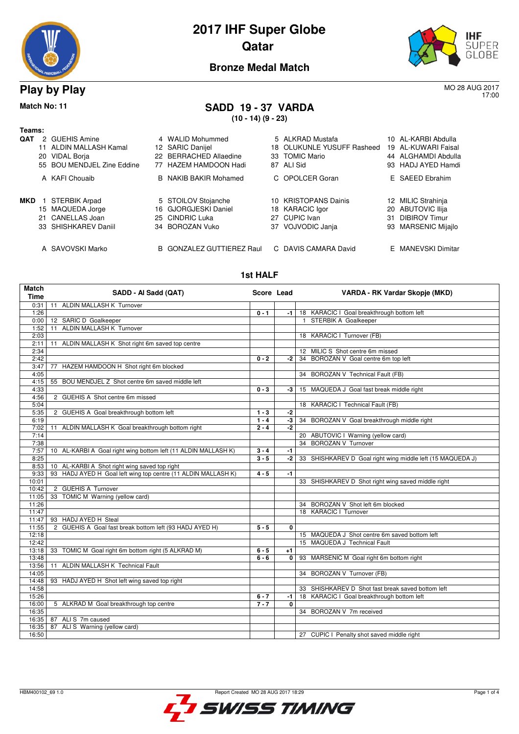

# **2017 IHF Super Globe Qatar**



17:00

### **Bronze Medal Match**

**Play by Play** MO 28 AUG 2017

**Match No: 11 SADD 19 - 37 VARDA**

**(10 - 14) (9 - 23)**

| Teams:     |    |                            |                                  |     |                         |                     |
|------------|----|----------------------------|----------------------------------|-----|-------------------------|---------------------|
| <b>QAT</b> | 2  | <b>GUEHIS Amine</b>        | 4 WALID Mohummed                 |     | 5 ALKRAD Mustafa        | 10 AL-KARBI Abdulla |
|            |    | 11 ALDIN MALLASH Kamal     | 12 SARIC Danijel                 | 18. | OLUKUNLE YUSUFF Rasheed | 19 AL-KUWARI Faisal |
|            | 20 | <b>VIDAL Borja</b>         | 22 BERRACHED Allaedine           |     | 33 TOMIC Mario          | 44 ALGHAMDI Abdulla |
|            |    | 55 BOU MENDJEL Zine Eddine | 77 HAZEM HAMDOON Hadi            |     | 87 ALI Sid              | 93 HADJ AYED Hamdi  |
|            |    | A KAFI Chouaib             | <b>B</b> NAKIB BAKIR Mohamed     |     | C OPOLCER Goran         | E SAEED Ebrahim     |
| MKD        |    | <b>STERBIK Arpad</b>       | 5 STOILOV Stojanche              |     | 10 KRISTOPANS Dainis    | 12 MILIC Strahinja  |
|            |    | 15 MAQUEDA Jorge           | 16 GJORGJESKI Daniel             |     | 18 KARACIC Igor         | 20 ABUTOVIC Ilija   |
|            |    | 21 CANELLAS Joan           | 25 CINDRIC Luka                  | 27  | CUPIC Ivan              | 31 DIBIROV Timur    |
|            |    | 33 SHISHKAREV Daniil       | 34 BOROZAN Vuko                  |     | 37 VOJVODIC Janja       | 93 MARSENIC Mijajlo |
|            |    | A SAVOVSKI Marko           | <b>B</b> GONZALEZ GUTTIEREZ Raul |     | C DAVIS CAMARA David    | E MANEVSKI Dimitar  |

#### **1st HALF**

| <b>Match</b><br>Time | SADD - Al Sadd (QAT)                                           | Score Lead |              | VARDA - RK Vardar Skopje (MKD)                             |
|----------------------|----------------------------------------------------------------|------------|--------------|------------------------------------------------------------|
| 0:31                 | 11 ALDIN MALLASH K Turnover                                    |            |              |                                                            |
| 1:26                 |                                                                | $0 - 1$    | -1           | 18 KARACIC I Goal breakthrough bottom left                 |
| 0:00                 | 12 SARIC D Goalkeeper                                          |            |              | 1 STERBIK A Goalkeeper                                     |
| 1:52                 | 11 ALDIN MALLASH K Turnover                                    |            |              |                                                            |
| 2:03                 |                                                                |            |              | 18 KARACIC I Turnover (FB)                                 |
| 2:11                 | 11 ALDIN MALLASH K Shot right 6m saved top centre              |            |              |                                                            |
| 2:34                 |                                                                |            |              | 12 MILIC S Shot centre 6m missed                           |
| 2:42                 |                                                                | $0 - 2$    | -2           | 34 BOROZAN V Goal centre 6m top left                       |
| 3:47                 | 77 HAZEM HAMDOON H Shot right 6m blocked                       |            |              |                                                            |
| 4:05                 |                                                                |            |              | 34 BOROZAN V Technical Fault (FB)                          |
| 4:15                 | 55 BOU MENDJEL Z Shot centre 6m saved middle left              |            |              |                                                            |
| 4:33                 |                                                                | $0 - 3$    | -3           | 15 MAQUEDA J Goal fast break middle right                  |
| 4:56                 | 2 GUEHIS A Shot centre 6m missed                               |            |              |                                                            |
| 5:04                 |                                                                |            |              | 18 KARACIC I Technical Fault (FB)                          |
| 5:35                 | 2 GUEHIS A Goal breakthrough bottom left                       | $1 - 3$    | $-2$         |                                                            |
| 6:19                 |                                                                | $1 - 4$    | $-3$         | 34 BOROZAN V Goal breakthrough middle right                |
| 7:02                 | 11 ALDIN MALLASH K Goal breakthrough bottom right              | $2 - 4$    | $-2$         |                                                            |
| 7:14                 |                                                                |            |              | 20 ABUTOVIC I Warning (yellow card)                        |
| 7:38                 |                                                                |            |              | 34 BOROZAN V Turnover                                      |
| 7:57                 | 10 AL-KARBI A Goal right wing bottom left (11 ALDIN MALLASH K) | $3 - 4$    | $-1$         |                                                            |
| 8:25                 |                                                                | $3 - 5$    | -2           | 33 SHISHKAREV D Goal right wing middle left (15 MAQUEDA J) |
| 8:53                 | 10 AL-KARBI A Shot right wing saved top right                  |            |              |                                                            |
| 9:33                 | 93 HADJ AYED H Goal left wing top centre (11 ALDIN MALLASH K)  | $4 - 5$    | $-1$         |                                                            |
| 10:01                |                                                                |            |              | 33 SHISHKAREV D Shot right wing saved middle right         |
| 10:42                | 2 GUEHIS A Turnover                                            |            |              |                                                            |
| 11:05                | 33 TOMIC M Warning (yellow card)                               |            |              |                                                            |
| 11:26                |                                                                |            |              | 34 BOROZAN V Shot left 6m blocked                          |
| 11:47                |                                                                |            |              | 18 KARACIC I Turnover                                      |
| 11:47                | 93 HADJ AYED H Steal                                           |            |              |                                                            |
| 11:55                | 2 GUEHIS A Goal fast break bottom left (93 HADJ AYED H)        | $5 - 5$    | $\mathbf{0}$ |                                                            |
| 12:18                |                                                                |            |              | 15 MAQUEDA J Shot centre 6m saved bottom left              |
| 12:42                |                                                                |            |              | 15 MAQUEDA J Technical Fault                               |
| 13:18                | 33 TOMIC M Goal right 6m bottom right (5 ALKRAD M)             | $6 - 5$    | $+1$         |                                                            |
| 13:48                |                                                                | $6 - 6$    | 0            | 93 MARSENIC M Goal right 6m bottom right                   |
| 13:56                | <b>ALDIN MALLASH K Technical Fault</b><br>11                   |            |              |                                                            |
| 14:05                |                                                                |            |              | 34 BOROZAN V Turnover (FB)                                 |
| 14:48                | 93 HADJ AYED H Shot left wing saved top right                  |            |              |                                                            |
| 14:58                |                                                                |            |              | 33 SHISHKAREV D Shot fast break saved bottom left          |
| 15:26                |                                                                | $6 - 7$    | $-1$         | 18 KARACIC I Goal breakthrough bottom left                 |
| 16:00                | 5 ALKRAD M Goal breakthrough top centre                        | $7 - 7$    | 0            |                                                            |
| 16:35                |                                                                |            |              | 34 BOROZAN V 7m received                                   |
| 16:35                | 87 ALIS 7m caused                                              |            |              |                                                            |
| 16:35                | 87 ALIS Warning (yellow card)                                  |            |              |                                                            |
| 16:50                |                                                                |            |              | 27 CUPIC I Penalty shot saved middle right                 |
|                      |                                                                |            |              |                                                            |

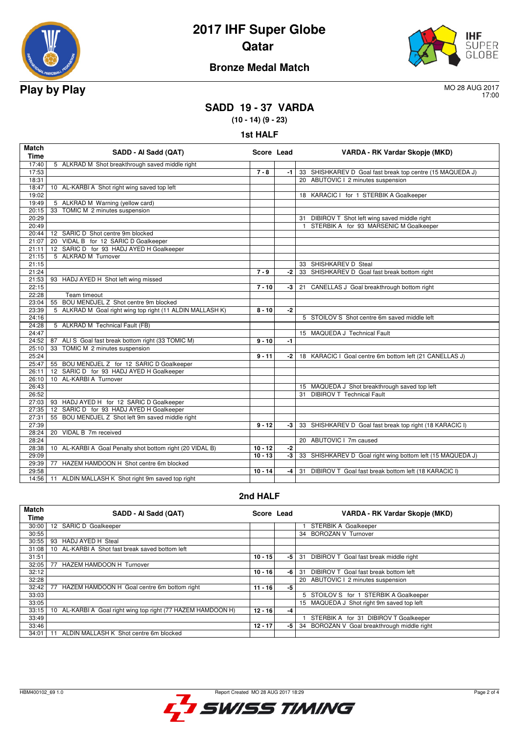

# **2017 IHF Super Globe Qatar**



## **Bronze Medal Match**

17:00

## **SADD 19 - 37 VARDA**

**(10 - 14) (9 - 23)**

**1st HALF**

| <b>Match</b><br><b>Time</b> | SADD - Al Sadd (QAT)                                      | Score Lead |      | VARDA - RK Vardar Skopje (MKD)                             |
|-----------------------------|-----------------------------------------------------------|------------|------|------------------------------------------------------------|
| 17:40                       | 5 ALKRAD M Shot breakthrough saved middle right           |            |      |                                                            |
| 17:53                       |                                                           | $7 - 8$    | $-1$ | 33 SHISHKAREV D Goal fast break top centre (15 MAQUEDA J)  |
| 18:31                       |                                                           |            |      | 20 ABUTOVIC I 2 minutes suspension                         |
| 18:47                       | 10 AL-KARBI A Shot right wing saved top left              |            |      |                                                            |
| 19:02                       |                                                           |            |      | 18 KARACIC I for 1 STERBIK A Goalkeeper                    |
| 19:49                       | 5 ALKRAD M Warning (yellow card)                          |            |      |                                                            |
| 20:15                       | 33 TOMIC M 2 minutes suspension                           |            |      |                                                            |
| 20:29                       |                                                           |            |      | 31 DIBIROV T Shot left wing saved middle right             |
| 20:49                       |                                                           |            |      | STERBIK A for 93 MARSENIC M Goalkeeper<br>$\mathbf{1}$     |
| 20:44                       | 12 SARIC D Shot centre 9m blocked                         |            |      |                                                            |
| 21:07                       | 20 VIDAL B for 12 SARIC D Goalkeeper                      |            |      |                                                            |
| 21:11                       | 12 SARIC D for 93 HADJ AYED H Goalkeeper                  |            |      |                                                            |
| 21:15                       | 5 ALKRAD M Turnover                                       |            |      |                                                            |
| 21:15                       |                                                           |            |      | 33 SHISHKAREV D Steal                                      |
| 21:24                       |                                                           | $7 - 9$    | -2   | 33 SHISHKAREV D Goal fast break bottom right               |
| 21:53                       | 93 HADJ AYED H Shot left wing missed                      |            |      |                                                            |
| 22:15                       |                                                           | $7 - 10$   | -3   | 21 CANELLAS J Goal breakthrough bottom right               |
| 22:28                       | Team timeout                                              |            |      |                                                            |
| 23:04                       | BOU MENDJEL Z Shot centre 9m blocked<br>55                |            |      |                                                            |
| 23:39                       | 5 ALKRAD M Goal right wing top right (11 ALDIN MALLASH K) | $8 - 10$   | $-2$ |                                                            |
| 24:16                       |                                                           |            |      | 5 STOILOV S Shot centre 6m saved middle left               |
| 24:28                       | 5 ALKRAD M Technical Fault (FB)                           |            |      |                                                            |
| 24:47                       |                                                           |            |      | 15 MAQUEDA J Technical Fault                               |
| 24:52                       | 87 ALI S Goal fast break bottom right (33 TOMIC M)        | $9 - 10$   | $-1$ |                                                            |
| 25:10                       | 33<br>TOMIC M 2 minutes suspension                        |            |      |                                                            |
| 25:24                       |                                                           | $9 - 11$   | -2   | 18 KARACIC I Goal centre 6m bottom left (21 CANELLAS J)    |
| 25:47                       | 55 BOU MENDJEL Z for 12 SARIC D Goalkeeper                |            |      |                                                            |
| 26:11                       | 12 SARIC D for 93 HADJ AYED H Goalkeeper                  |            |      |                                                            |
| 26:10                       | 10 AL-KARBI A Turnover                                    |            |      |                                                            |
| 26:43                       |                                                           |            |      | 15 MAQUEDA J Shot breakthrough saved top left              |
| 26:52                       |                                                           |            |      | <b>DIBIROV T Technical Fault</b><br>31                     |
| 27:03                       | 93 HADJ AYED H for 12 SARIC D Goalkeeper                  |            |      |                                                            |
| 27:35                       | 12 SARIC D for 93 HADJ AYED H Goalkeeper                  |            |      |                                                            |
| 27:31                       | 55 BOU MENDJEL Z Shot left 9m saved middle right          |            |      |                                                            |
| 27:39                       |                                                           | $9 - 12$   | -3   | 33 SHISHKAREV D Goal fast break top right (18 KARACIC I)   |
| 28:24                       | 20 VIDAL B 7m received                                    |            |      |                                                            |
| 28:24                       |                                                           |            |      | 20 ABUTOVIC I 7m caused                                    |
| 28:38                       | 10 AL-KARBI A Goal Penalty shot bottom right (20 VIDAL B) | $10 - 12$  | -2   |                                                            |
| 29:09                       |                                                           | $10 - 13$  | $-3$ | 33 SHISHKAREV D Goal right wing bottom left (15 MAQUEDA J) |
| 29:39                       | 77 HAZEM HAMDOON H Shot centre 6m blocked                 |            |      |                                                            |
| 29:58                       |                                                           | $10 - 14$  | -4   | DIBIROV T Goal fast break bottom left (18 KARACIC I)<br>31 |
| 14:56                       | 11 ALDIN MALLASH K Shot right 9m saved top right          |            |      |                                                            |

#### **2nd HALF**

| <b>Match</b><br>Time | SADD - Al Sadd (QAT)                                         | Score Lead |      | VARDA - RK Vardar Skopje (MKD)               |
|----------------------|--------------------------------------------------------------|------------|------|----------------------------------------------|
| 30:00                | 12 SARIC D Goalkeeper                                        |            |      | STERBIK A Goalkeeper                         |
| 30:55                |                                                              |            |      | 34 BOROZAN V Turnover                        |
| 30:55                | 93<br>HADJ AYED H Steal                                      |            |      |                                              |
| 31:08                | 10 AL-KARBI A Shot fast break saved bottom left              |            |      |                                              |
| 31:51                |                                                              | $10 - 15$  | $-5$ | 31<br>DIBIROV T Goal fast break middle right |
| 32:05                | 77<br>HAZEM HAMDOON H Turnover                               |            |      |                                              |
| 32:12                |                                                              | $10 - 16$  | -6   | DIBIROV T Goal fast break bottom left<br>31  |
| 32:28                |                                                              |            |      | 20 ABUTOVIC I 2 minutes suspension           |
| 32:42                | 77<br>HAZEM HAMDOON H Goal centre 6m bottom right            | $11 - 16$  | -5   |                                              |
| 33:03                |                                                              |            |      | 5 STOILOV S for 1 STERBIK A Goalkeeper       |
| 33:05                |                                                              |            |      | 15 MAQUEDA J Shot right 9m saved top left    |
| 33:15                | 10 AL-KARBI A Goal right wing top right (77 HAZEM HAMDOON H) | $12 - 16$  | -4   |                                              |
| 33:49                |                                                              |            |      | STERBIK A for 31 DIBIROV T Goalkeeper        |
| 33:46                |                                                              | $12 - 17$  | -5   | 34 BOROZAN V Goal breakthrough middle right  |
| 34:01                | ALDIN MALLASH K Shot centre 6m blocked                       |            |      |                                              |

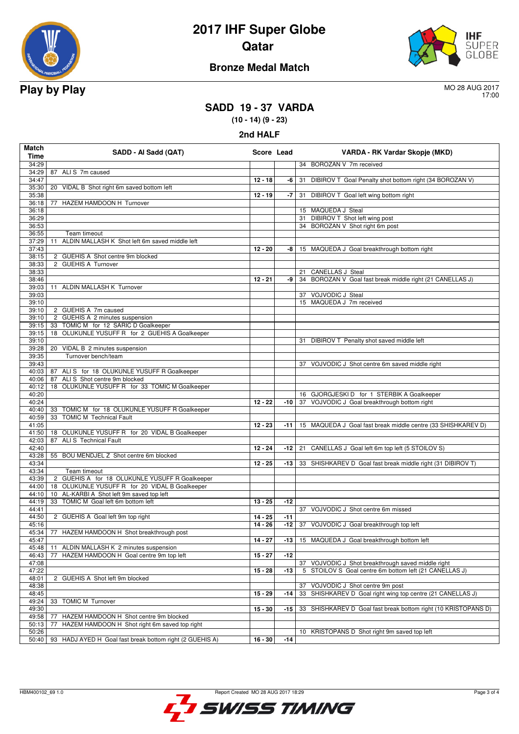

# **2017 IHF Super Globe Qatar**



## **Bronze Medal Match**

17:00

## **SADD 19 - 37 VARDA**

**(10 - 14) (9 - 23)**

| 2nd HALF             |                                                                                             |            |        |                                                                                            |  |  |
|----------------------|---------------------------------------------------------------------------------------------|------------|--------|--------------------------------------------------------------------------------------------|--|--|
| <b>Match</b><br>Time | SADD - Al Sadd (QAT)                                                                        | Score Lead |        | VARDA - RK Vardar Skopje (MKD)                                                             |  |  |
| 34:29                |                                                                                             |            |        | 34 BOROZAN V 7m received                                                                   |  |  |
| 34:29                | 87 ALIS 7m caused                                                                           |            |        |                                                                                            |  |  |
| 34:47<br>35:30       | 20 VIDAL B Shot right 6m saved bottom left                                                  | $12 - 18$  | -6     | DIBIROV T Goal Penalty shot bottom right (34 BOROZAN V)<br>31                              |  |  |
| 35:38                |                                                                                             | $12 - 19$  |        | -7 31 DIBIROV T Goal left wing bottom right                                                |  |  |
| 36:18                | 77 HAZEM HAMDOON H Turnover                                                                 |            |        |                                                                                            |  |  |
| 36:18                |                                                                                             |            |        | 15 MAQUEDA J Steal                                                                         |  |  |
| 36:29                |                                                                                             |            |        | 31 DIBIROV T Shot left wing post                                                           |  |  |
| 36:53                |                                                                                             |            |        | 34 BOROZAN V Shot right 6m post                                                            |  |  |
| 36:55<br>37:29       | Team timeout<br>ALDIN MALLASH K Shot left 6m saved middle left<br>11                        |            |        |                                                                                            |  |  |
| 37:43                |                                                                                             | $12 - 20$  | -8     | 15 MAQUEDA J Goal breakthrough bottom right                                                |  |  |
| 38:15                | 2 GUEHIS A Shot centre 9m blocked                                                           |            |        |                                                                                            |  |  |
| 38:33                | 2 GUEHIS A Turnover                                                                         |            |        |                                                                                            |  |  |
| 38:33                |                                                                                             |            |        | 21 CANELLAS J Steal                                                                        |  |  |
| 38:46                |                                                                                             | $12 - 21$  | -9     | 34 BOROZAN V Goal fast break middle right (21 CANELLAS J)                                  |  |  |
| 39:03<br>39:03       | ALDIN MALLASH K Turnover<br>11                                                              |            |        | 37 VOJVODIC J Steal                                                                        |  |  |
| 39:10                |                                                                                             |            |        | 15 MAQUEDA J 7m received                                                                   |  |  |
| 39:10                | 2 GUEHIS A 7m caused                                                                        |            |        |                                                                                            |  |  |
| 39:10                | 2 GUEHIS A 2 minutes suspension                                                             |            |        |                                                                                            |  |  |
| 39:15                | 33 TOMIC M for 12 SARIC D Goalkeeper                                                        |            |        |                                                                                            |  |  |
| 39:15                | 18 OLUKUNLE YUSUFF R for 2 GUEHIS A Goalkeeper                                              |            |        |                                                                                            |  |  |
| 39:10<br>39:28       | 20 VIDAL B 2 minutes suspension                                                             |            |        | 31 DIBIROV T Penalty shot saved middle left                                                |  |  |
| 39:35                | Turnover bench/team                                                                         |            |        |                                                                                            |  |  |
| 39:43                |                                                                                             |            |        | 37 VOJVODIC J Shot centre 6m saved middle right                                            |  |  |
| 40:03                | 87 ALI S for 18 OLUKUNLE YUSUFF R Goalkeeper                                                |            |        |                                                                                            |  |  |
| 40:06                | 87 ALIS Shot centre 9m blocked                                                              |            |        |                                                                                            |  |  |
| 40:12                | 18 OLUKUNLE YUSUFF R for 33 TOMIC M Goalkeeper                                              |            |        |                                                                                            |  |  |
| 40:20<br>40:24       |                                                                                             | $12 - 22$  | -10 l  | 16 GJORGJESKI D for 1 STERBIK A Goalkeeper<br>37 VOJVODIC J Goal breakthrough bottom right |  |  |
| 40:40                | 33 TOMIC M for 18 OLUKUNLE YUSUFF R Goalkeeper                                              |            |        |                                                                                            |  |  |
| 40:59                | <b>TOMIC M Technical Fault</b><br>33                                                        |            |        |                                                                                            |  |  |
| 41:05                |                                                                                             | $12 - 23$  | $-111$ | 15 MAQUEDA J Goal fast break middle centre (33 SHISHKAREV D)                               |  |  |
| 41:50                | 18 OLUKUNLE YUSUFF R for 20 VIDAL B Goalkeeper                                              |            |        |                                                                                            |  |  |
| 42:03                | 87 ALI S Technical Fault                                                                    |            |        |                                                                                            |  |  |
| 42:40<br>43:28       | 55 BOU MENDJEL Z Shot centre 6m blocked                                                     | $12 - 24$  | -12    | 21 CANELLAS J Goal left 6m top left (5 STOILOV S)                                          |  |  |
| 43:34                |                                                                                             | $12 - 25$  | -13    | 33 SHISHKAREV D Goal fast break middle right (31 DIBIROV T)                                |  |  |
| 43:34                | Team timeout                                                                                |            |        |                                                                                            |  |  |
| 43:39                | 2 GUEHIS A for 18 OLUKUNLE YUSUFF R Goalkeeper                                              |            |        |                                                                                            |  |  |
| 44:00                | 18 OLUKUNLE YUSUFF R for 20 VIDAL B Goalkeeper                                              |            |        |                                                                                            |  |  |
| 44:10<br>44:19       | 10 AL-KARBI A Shot left 9m saved top left<br>TOMIC M Goal left 6m bottom left<br>33         | $13 - 25$  | $-12$  |                                                                                            |  |  |
| 44:41                |                                                                                             |            |        | 37 VOJVODIC J Shot centre 6m missed                                                        |  |  |
| 44:50                | 2 GUEHIS A Goal left 9m top right                                                           | $14 - 25$  | $-11$  |                                                                                            |  |  |
| 45:16                |                                                                                             | $14 - 26$  | $-12$  | 37 VOJVODIC J Goal breakthrough top left                                                   |  |  |
| 45:34                | HAZEM HAMDOON H Shot breakthrough post<br>77                                                |            |        |                                                                                            |  |  |
| 45:47                |                                                                                             | $14 - 27$  | -13    | 15 MAQUEDA J Goal breakthrough bottom left                                                 |  |  |
| 45:48                | ALDIN MALLASH K 2 minutes suspension<br>11<br>77<br>HAZEM HAMDOON H Goal centre 9m top left |            | $-12$  |                                                                                            |  |  |
| 46:43<br>47:08       |                                                                                             | $15 - 27$  |        | 37 VOJVODIC J Shot breakthrough saved middle right                                         |  |  |
| 47:22                |                                                                                             | $15 - 28$  | $-13$  | 5 STOILOV S Goal centre 6m bottom left (21 CANELLAS J)                                     |  |  |
| 48:01                | 2 GUEHIS A Shot left 9m blocked                                                             |            |        |                                                                                            |  |  |
| 48:38                |                                                                                             |            |        | 37 VOJVODIC J Shot centre 9m post                                                          |  |  |
| 48:45                |                                                                                             | $15 - 29$  | -14    | 33 SHISHKAREV D Goal right wing top centre (21 CANELLAS J)                                 |  |  |
| 49:24<br>49:30       | <b>TOMIC M Turnover</b><br>33                                                               | $15 - 30$  | -15    | 33 SHISHKAREV D Goal fast break bottom right (10 KRISTOPANS D)                             |  |  |
| 49:58                | 77 HAZEM HAMDOON H Shot centre 9m blocked                                                   |            |        |                                                                                            |  |  |

50:13 77 HAZEM HAMDOON H Shot right 6m saved top right

50:40 93 HADJ AYED H Goal fast break bottom right (2 GUEHIS A)

50:26 10 KRISTOPANS D Shot right 9m saved top left<br>50:26 10 MRISTOPANS D Shot right 9m saved top left<br>50:40 93 HADJ AYED H Goal fast break bottom right (2 GUEHIS A) 16 - 30 - 14